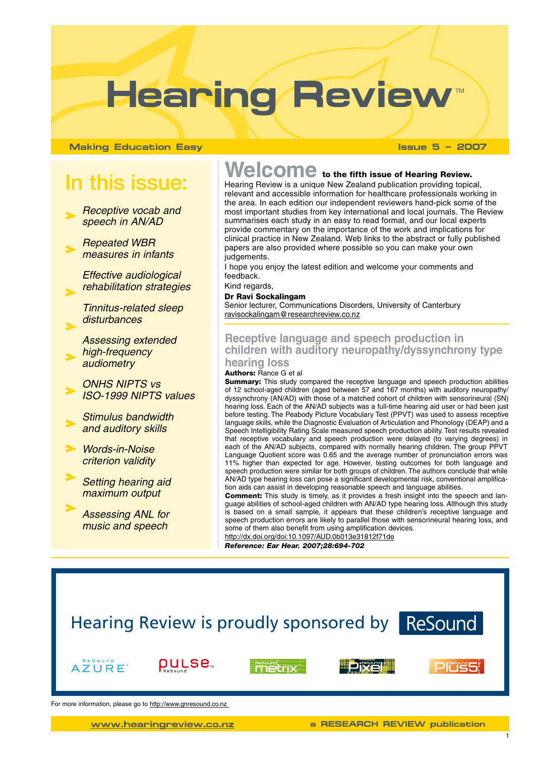# Hearing Review

**Making Education Easy Issue 5 – 2007**

# In this issue:

- *Receptive vocab and speech in AN/AD*
- *Repeated WBR measures in infants*

*Effective audiological rehabilitation strategies*

*Tinnitus-related sleep disturbances* 

*Assessing extended high-frequency audiometry*

*ONHS NIPTS vs ISO-1999 NIPTS values* 

*Stimulus bandwidth and auditory skills*

*Words-in-Noise criterion validity*

*Setting hearing aid maximum output*

*Assessing ANL for music and speech*

# Welcome to the fifth issue of Hearing Review.

Hearing Review is a unique New Zealand publication providing topical, relevant and accessible information for healthcare professionals working in the area. In each edition our independent reviewers hand-pick some of the most important studies from key international and local journals. The Review summarises each study in an easy to read format, and our local experts provide commentary on the importance of the work and implications for clinical practice in New Zealand. Web links to the abstract or fully published papers are also provided where possible so you can make your own judgements.

I hope you enjoy the latest edition and welcome your comments and feedback.

Kind regards, Dr Ravi Sockalingam Senior lecturer, Communications Disorders, University of Canterbury [ravisockalingam@researchreview.co.nz](mailto:ravisockalingam@researchreview.co.nz)

# **Receptive language and speech production in children with auditory neuropathy/dyssynchrony type hearing loss**

#### Authors: Rance G et al

**Summary:** This study compared the receptive language and speech production abilities of 12 school-aged children (aged between 57 and 167 months) with auditory neuropathy/ dyssynchrony (AN/AD) with those of a matched cohort of children with sensorineural (SN) hearing loss. Each of the AN/AD subjects was a full-time hearing aid user or had been just before testing. The Peabody Picture Vocabulary Test (PPVT) was used to assess receptive language skills, while the Diagnostic Evaluation of Articulation and Phonology (DEAP) and a Speech Intelligibility Rating Scale measured speech production ability. Test results revealed that receptive vocabulary and speech production were delayed (to varying degrees) in each of the AN/AD subjects, compared with normally hearing children. The group PPVT Language Quotient score was 0.65 and the average number of pronunciation errors was 11% higher than expected for age. However, testing outcomes for both language and speech production were similar for both groups of children. The authors conclude that while AN/AD type hearing loss can pose a significant developmental risk, conventional amplification aids can assist in developing reasonable speech and language abilities.

Comment: This study is timely, as it provides a fresh insight into the speech and language abilities of school-aged children with AN/AD type hearing loss. Although this study is based on a small sample, it appears that these children's receptive language and speech production errors are likely to parallel those with sensorineural hearing loss, and some of them also benefit from using amplification devices.

<http://dx.doi.org/doi:10.1097/AUD.0b013e31812f71de> *Reference: Ear Hear. 2007;28:694-702*

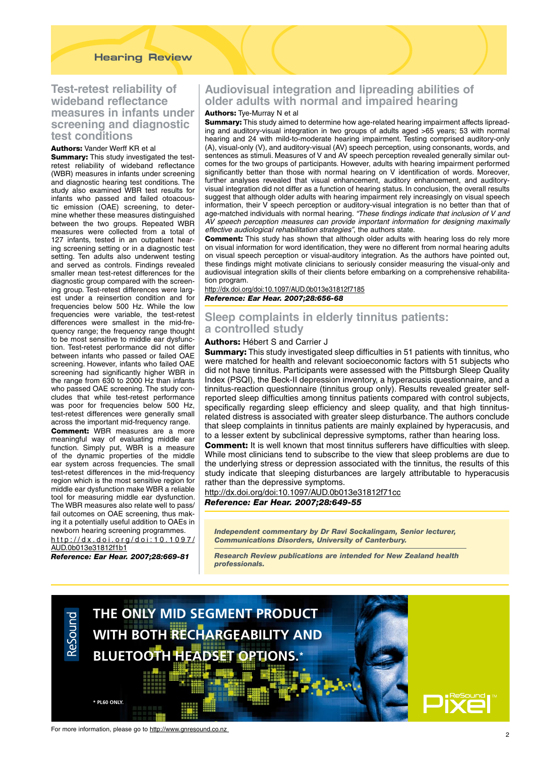# **Test-retest reliability of wideband reflectance measures in infants under screening and diagnostic test conditions**

#### Authors: Vander Werff KR et al

**Summary:** This study investigated the testretest reliability of wideband reflectance (WBR) measures in infants under screening and diagnostic hearing test conditions. The study also examined WBR test results for infants who passed and failed otoacoustic emission (OAE) screening, to determine whether these measures distinguished between the two groups. Repeated WBR measures were collected from a total of 127 infants, tested in an outpatient hearing screening setting or in a diagnostic test setting. Ten adults also underwent testing and served as controls. Findings revealed smaller mean test-retest differences for the diagnostic group compared with the screening group. Test-retest differences were largest under a reinsertion condition and for frequencies below 500 Hz. While the low frequencies were variable, the test-retest differences were smallest in the mid-frequency range; the frequency range thought to be most sensitive to middle ear dysfunction. Test-retest performance did not differ between infants who passed or failed OAE screening. However, infants who failed OAE screening had significantly higher WBR in the range from 630 to 2000 Hz than infants who passed OAE screening. The study concludes that while test-retest performance was poor for frequencies below 500 Hz, test-retest differences were generally small across the important mid-frequency range.

Comment: WBR measures are a more meaningful way of evaluating middle ear function. Simply put, WBR is a measure of the dynamic properties of the middle ear system across frequencies. The small test-retest differences in the mid-frequency region which is the most sensitive region for middle ear dysfunction make WBR a reliable tool for measuring middle ear dysfunction. The WBR measures also relate well to pass/ fail outcomes on OAE screening, thus making it a potentially useful addition to OAEs in newborn hearing screening programmes.

#### http://dx.doi.org/doi:10.1097/ AUD.0b013e31812f1b1

*Reference: Ear Hear. 2007;28:669-81*

# **Audiovisual integration and lipreading abilities of older adults with normal and impaired hearing**

#### Authors: Tye-Murray N et al

Summary: This study aimed to determine how age-related hearing impairment affects lipreading and auditory-visual integration in two groups of adults aged >65 years; 53 with normal hearing and 24 with mild-to-moderate hearing impairment. Testing comprised auditory-only (A), visual-only (V), and auditory-visual (AV) speech perception, using consonants, words, and sentences as stimuli. Measures of V and AV speech perception revealed generally similar outcomes for the two groups of participants. However, adults with hearing impairment performed significantly better than those with normal hearing on V identification of words. Moreover, further analyses revealed that visual enhancement, auditory enhancement, and auditoryvisual integration did not differ as a function of hearing status. In conclusion, the overall results suggest that although older adults with hearing impairment rely increasingly on visual speech information, their V speech perception or auditory-visual integration is no better than that of age-matched individuals with normal hearing. *"These findings indicate that inclusion of V and AV speech perception measures can provide important information for designing maximally effective audiological rehabilitation strategies"*, the authors state.

**Comment:** This study has shown that although older adults with hearing loss do rely more on visual information for word identification, they were no different from normal hearing adults on visual speech perception or visual-auditory integration. As the authors have pointed out, these findings might motivate clinicians to seriously consider measuring the visual-only and audiovisual integration skills of their clients before embarking on a comprehensive rehabilitation program.

<http://dx.doi.org/doi:10.1097/AUD.0b013e31812f7185>

*Reference: Ear Hear. 2007;28:656-68*

# **Sleep complaints in elderly tinnitus patients: a controlled study**

#### Authors: Hébert S and Carrier J

**Summary:** This study investigated sleep difficulties in 51 patients with tinnitus, who were matched for health and relevant socioeconomic factors with 51 subjects who did not have tinnitus. Participants were assessed with the Pittsburgh Sleep Quality Index (PSQI), the Beck-II depression inventory, a hyperacusis questionnaire, and a tinnitus-reaction questionnaire (tinnitus group only). Results revealed greater selfreported sleep difficulties among tinnitus patients compared with control subjects, specifically regarding sleep efficiency and sleep quality, and that high tinnitusrelated distress is associated with greater sleep disturbance. The authors conclude that sleep complaints in tinnitus patients are mainly explained by hyperacusis, and to a lesser extent by subclinical depressive symptoms, rather than hearing loss.

**Comment:** It is well known that most tinnitus sufferers have difficulties with sleep. While most clinicians tend to subscribe to the view that sleep problems are due to the underlying stress or depression associated with the tinnitus, the results of this study indicate that sleeping disturbances are largely attributable to hyperacusis rather than the depressive symptoms.

<http://dx.doi.org/doi:10.1097/AUD.0b013e31812f71cc> *Reference: Ear Hear. 2007;28:649-55*

*Independent commentary by Dr Ravi Sockalingam, Senior lecturer, Communications Disorders, University of Canterbury.* 

*Research Review publications are intended for New Zealand health professionals.*



For more information, please go to <http://www.gnresound.co.nz>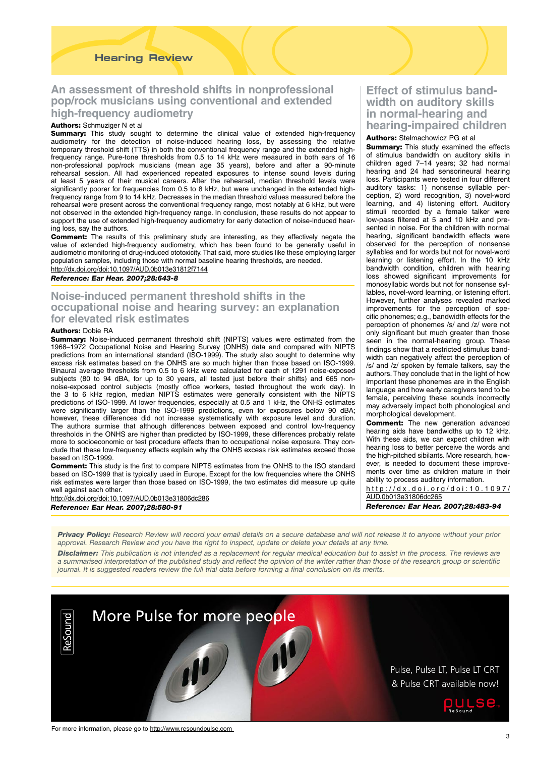#### **Hearing Review**

# **An assessment of threshold shifts in nonprofessional pop/rock musicians using conventional and extended high-frequency audiometry**

#### Authors: Schmuziger N et al.

**Summary:** This study sought to determine the clinical value of extended high-frequency audiometry for the detection of noise-induced hearing loss, by assessing the relative temporary threshold shift (TTS) in both the conventional frequency range and the extended highfrequency range. Pure-tone thresholds from 0.5 to 14 kHz were measured in both ears of 16 non-professional pop/rock musicians (mean age 35 years), before and after a 90-minute rehearsal session. All had experienced repeated exposures to intense sound levels during at least 5 years of their musical careers. After the rehearsal, median threshold levels were significantly poorer for frequencies from 0.5 to 8 kHz, but were unchanged in the extended highfrequency range from 9 to 14 kHz. Decreases in the median threshold values measured before the rehearsal were present across the conventional frequency range, most notably at 6 kHz, but were not observed in the extended high-frequency range. In conclusion, these results do not appear to support the use of extended high-frequency audiometry for early detection of noise-induced hearing loss, say the authors.

Comment: The results of this preliminary study are interesting, as they effectively negate the value of extended high-frequency audiometry, which has been found to be generally useful in audiometric monitoring of drug-induced ototoxicity. That said, more studies like these employing larger population samples, including those with normal baseline hearing thresholds, are needed. <http://dx.doi.org/doi:10.1097/AUD.0b013e31812f7144>

*Reference: Ear Hear. 2007;28:643-8* 

### **Noise-induced permanent threshold shifts in the occupational noise and hearing survey: an explanation for elevated risk estimates**

#### Authors: Dobie RA

**Summary:** Noise-induced permanent threshold shift (NIPTS) values were estimated from the 1968–1972 Occupational Noise and Hearing Survey (ONHS) data and compared with NIPTS predictions from an international standard (ISO-1999). The study also sought to determine why excess risk estimates based on the ONHS are so much higher than those based on ISO-1999. Binaural average thresholds from 0.5 to 6 kHz were calculated for each of 1291 noise-exposed subjects (80 to 94 dBA, for up to 30 years, all tested just before their shifts) and 665 nonnoise-exposed control subjects (mostly office workers, tested throughout the work day). In the 3 to 6 kHz region, median NIPTS estimates were generally consistent with the NIPTS predictions of ISO-1999. At lower frequencies, especially at 0.5 and 1 kHz, the ONHS estimates were significantly larger than the ISO-1999 predictions, even for exposures below 90 dBA; however, these differences did not increase systematically with exposure level and duration. The authors surmise that although differences between exposed and control low-frequency thresholds in the ONHS are higher than predicted by ISO-1999, these differences probably relate more to socioeconomic or test procedure effects than to occupational noise exposure. They conclude that these low-frequency effects explain why the ONHS excess risk estimates exceed those based on ISO-1999.

Comment: This study is the first to compare NIPTS estimates from the ONHS to the ISO standard based on ISO-1999 that is typically used in Europe. Except for the low frequencies where the ONHS risk estimates were larger than those based on ISO-1999, the two estimates did measure up quite well against each other.

<http://dx.doi.org/doi:10.1097/AUD.0b013e31806dc286> *Reference: Ear Hear. 2007;28:580-91*

# **Effect of stimulus bandwidth on auditory skills in normal-hearing and hearing-impaired children**

#### Authors: Stelmachowicz PG et al

**Summary:** This study examined the effects of stimulus bandwidth on auditory skills in children aged 7–14 years; 32 had normal hearing and 24 had sensorineural hearing loss. Participants were tested in four different auditory tasks: 1) nonsense syllable perception, 2) word recognition, 3) novel-word learning, and 4) listening effort. Auditory stimuli recorded by a female talker were low-pass filtered at 5 and 10 kHz and presented in noise. For the children with normal hearing, significant bandwidth effects were observed for the perception of nonsense syllables and for words but not for novel-word learning or listening effort. In the 10 kHz bandwidth condition, children with hearing loss showed significant improvements for monosyllabic words but not for nonsense syllables, novel-word learning, or listening effort. However, further analyses revealed marked improvements for the perception of specific phonemes; e.g., bandwidth effects for the perception of phonemes /s/ and /z/ were not only significant but much greater than those seen in the normal-hearing group. These findings show that a restricted stimulus bandwidth can negatively affect the perception of /s/ and /z/ spoken by female talkers, say the authors. They conclude that in the light of how important these phonemes are in the English language and how early caregivers tend to be female, perceiving these sounds incorrectly may adversely impact both phonological and morphological development.

**Comment:** The new generation advanced hearing aids have bandwidths up to 12 kHz. With these aids, we can expect children with hearing loss to better perceive the words and the high-pitched sibilants. More research, however, is needed to document these improvements over time as children mature in their ability to process auditory information.

http://dx.doi.org/doi:10.1097/ AUD.0b013e31806dc265

*Reference: Ear Hear. 2007;28:483-94*

*Privacy Policy: Research Review will record your email details on a secure database and will not release it to anyone without your prior approval. Research Review and you have the right to inspect, update or delete your details at any time.*

*Disclaimer: This publication is not intended as a replacement for regular medical education but to assist in the process. The reviews are a summarised interpretation of the published study and reflect the opinion of the writer rather than those of the research group or scientific journal. It is suggested readers review the full trial data before forming a final conclusion on its merits.*



For more information, please go to http://www.resoundpulse.com